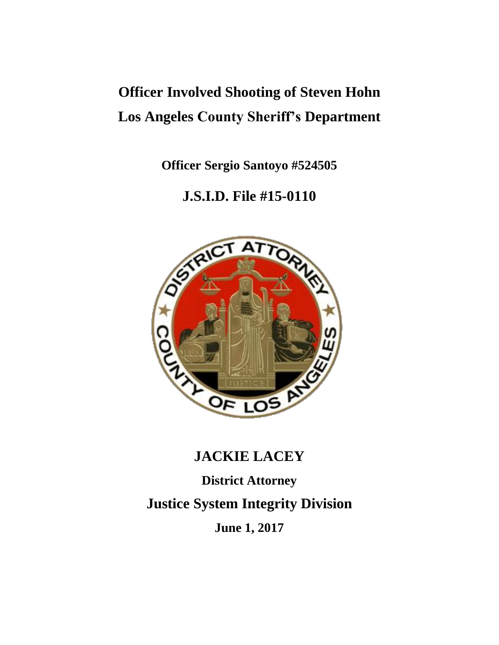# **Officer Involved Shooting of Steven Hohn Los Angeles County Sheriff's Department**

**Officer Sergio Santoyo #524505**

# **J.S.I.D. File #15-0110**



# **JACKIE LACEY**

**District Attorney Justice System Integrity Division June 1, 2017**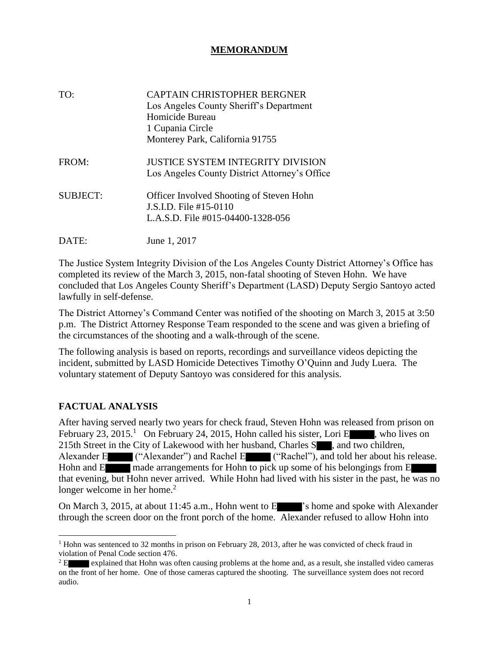# **MEMORANDUM**

| TO:             | CAPTAIN CHRISTOPHER BERGNER<br>Los Angeles County Sheriff's Department<br>Homicide Bureau<br>1 Cupania Circle<br>Monterey Park, California 91755 |
|-----------------|--------------------------------------------------------------------------------------------------------------------------------------------------|
| FROM:           | JUSTICE SYSTEM INTEGRITY DIVISION<br>Los Angeles County District Attorney's Office                                                               |
| <b>SUBJECT:</b> | <b>Officer Involved Shooting of Steven Hohn</b><br>J.S.I.D. File #15-0110<br>L.A.S.D. File #015-04400-1328-056                                   |
| DATE:           | June 1, 2017                                                                                                                                     |

The Justice System Integrity Division of the Los Angeles County District Attorney's Office has completed its review of the March 3, 2015, non-fatal shooting of Steven Hohn. We have concluded that Los Angeles County Sheriff's Department (LASD) Deputy Sergio Santoyo acted lawfully in self-defense.

The District Attorney's Command Center was notified of the shooting on March 3, 2015 at 3:50 p.m. The District Attorney Response Team responded to the scene and was given a briefing of the circumstances of the shooting and a walk-through of the scene.

The following analysis is based on reports, recordings and surveillance videos depicting the incident, submitted by LASD Homicide Detectives Timothy O'Quinn and Judy Luera. The voluntary statement of Deputy Santoyo was considered for this analysis.

#### **FACTUAL ANALYSIS**

After having served nearly two years for check fraud, Steven Hohn was released from prison on February 23, 2015.<sup>1</sup> On February 24, 2015, Hohn called his sister, Lori E , who lives on 215th Street in the City of Lakewood with her husband, Charles S<sub>nn</sub>, and two children, Alexander E ("Alexander") and Rachel E ("Rachel"), and told her about his release. Hohn and E made arrangements for Hohn to pick up some of his belongings from E that evening, but Hohn never arrived. While Hohn had lived with his sister in the past, he was no longer welcome in her home. $2$ 

On March 3, 2015, at about 11:45 a.m., Hohn went to E 's home and spoke with Alexander' through the screen door on the front porch of the home. Alexander refused to allow Hohn into

<sup>&</sup>lt;sup>1</sup> Hohn was sentenced to 32 months in prison on February 28, 2013, after he was convicted of check fraud in violation of Penal Code section 476.

<sup>&</sup>lt;sup>2</sup> E explained that Hohn was often causing problems at the home and, as a result, she installed video cameras on the front of her home. One of those cameras captured the shooting. The surveillance system does not record audio.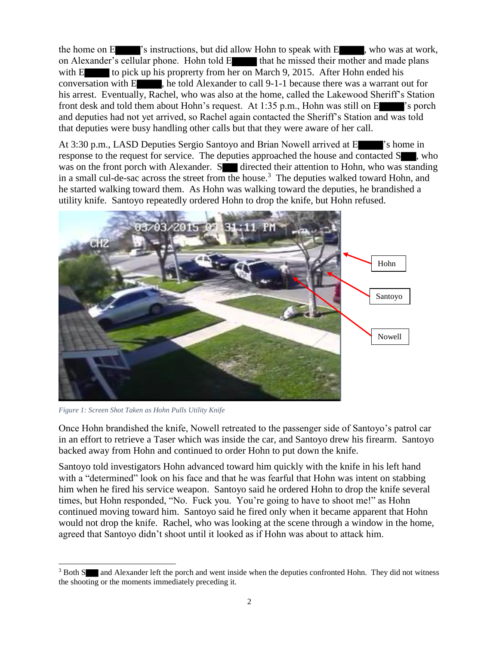the home on  $E$  's instructions, but did allow Hohn to speak with  $E$ , who was at work, on Alexander's cellular phone. Hohn told E that he missed their mother and made plans with E to pick up his proprerty from her on March 9, 2015. After Hohn ended his conversation with E , he told Alexander to call 9-1-1 because there was a warrant out for his arrest. Eventually, Rachel, who was also at the home, called the Lakewood Sheriff's Station front desk and told them about Hohn's request. At 1:35 p.m., Hohn was still on E 's porch and deputies had not yet arrived, so Rachel again contacted the Sheriff's Station and was told that deputies were busy handling other calls but that they were aware of her call.

At 3:30 p.m., LASD Deputies Sergio Santoyo and Brian Nowell arrived at E 's home in response to the request for service. The deputies approached the house and contacted S , who was on the front porch with Alexander.  $S$  directed their attention to Hohn, who was standing in a small cul-de-sac across the street from the house.<sup>3</sup> The deputies walked toward Hohn, and he started walking toward them. As Hohn was walking toward the deputies, he brandished a utility knife. Santoyo repeatedly ordered Hohn to drop the knife, but Hohn refused.



*Figure 1: Screen Shot Taken as Hohn Pulls Utility Knife*

Once Hohn brandished the knife, Nowell retreated to the passenger side of Santoyo's patrol car in an effort to retrieve a Taser which was inside the car, and Santoyo drew his firearm. Santoyo backed away from Hohn and continued to order Hohn to put down the knife.

Santoyo told investigators Hohn advanced toward him quickly with the knife in his left hand with a "determined" look on his face and that he was fearful that Hohn was intent on stabbing him when he fired his service weapon. Santoyo said he ordered Hohn to drop the knife several times, but Hohn responded, "No. Fuck you. You're going to have to shoot me!" as Hohn continued moving toward him. Santoyo said he fired only when it became apparent that Hohn would not drop the knife. Rachel, who was looking at the scene through a window in the home, agreed that Santoyo didn't shoot until it looked as if Hohn was about to attack him.

 $\overline{a}$ <sup>3</sup> Both S and Alexander left the porch and went inside when the deputies confronted Hohn. They did not witness the shooting or the moments immediately preceding it.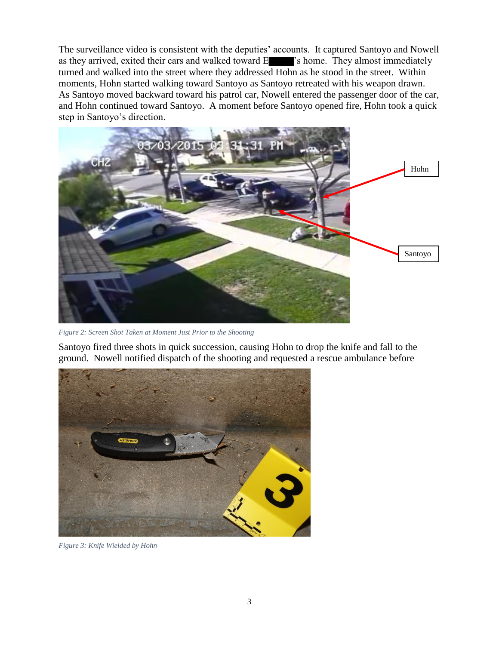The surveillance video is consistent with the deputies' accounts. It captured Santoyo and Nowell as they arrived, exited their cars and walked toward E 's home. They almost immediately turned and walked into the street where they addressed Hohn as he stood in the street. Within moments, Hohn started walking toward Santoyo as Santoyo retreated with his weapon drawn. As Santoyo moved backward toward his patrol car, Nowell entered the passenger door of the car, and Hohn continued toward Santoyo. A moment before Santoyo opened fire, Hohn took a quick step in Santoyo's direction.



*Figure 2: Screen Shot Taken at Moment Just Prior to the Shooting*

Santoyo fired three shots in quick succession, causing Hohn to drop the knife and fall to the ground. Nowell notified dispatch of the shooting and requested a rescue ambulance before



*Figure 3: Knife Wielded by Hohn*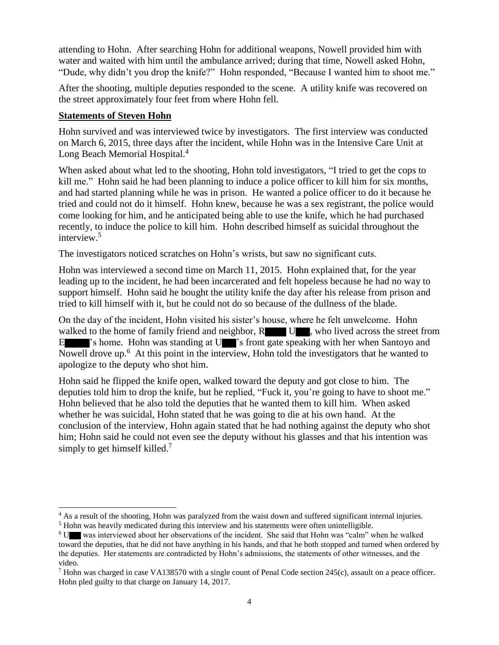attending to Hohn. After searching Hohn for additional weapons, Nowell provided him with water and waited with him until the ambulance arrived; during that time, Nowell asked Hohn, "Dude, why didn't you drop the knife?" Hohn responded, "Because I wanted him to shoot me."

After the shooting, multiple deputies responded to the scene. A utility knife was recovered on the street approximately four feet from where Hohn fell.

### **Statements of Steven Hohn**

 $\overline{a}$ 

Hohn survived and was interviewed twice by investigators. The first interview was conducted on March 6, 2015, three days after the incident, while Hohn was in the Intensive Care Unit at Long Beach Memorial Hospital.<sup>4</sup>

When asked about what led to the shooting, Hohn told investigators, "I tried to get the cops to kill me." Hohn said he had been planning to induce a police officer to kill him for six months, and had started planning while he was in prison. He wanted a police officer to do it because he tried and could not do it himself. Hohn knew, because he was a sex registrant, the police would come looking for him, and he anticipated being able to use the knife, which he had purchased recently, to induce the police to kill him. Hohn described himself as suicidal throughout the interview. 5

The investigators noticed scratches on Hohn's wrists, but saw no significant cuts.

Hohn was interviewed a second time on March 11, 2015. Hohn explained that, for the year leading up to the incident, he had been incarcerated and felt hopeless because he had no way to support himself. Hohn said he bought the utility knife the day after his release from prison and tried to kill himself with it, but he could not do so because of the dullness of the blade.

On the day of the incident, Hohn visited his sister's house, where he felt unwelcome. Hohn walked to the home of family friend and neighbor,  $R$  U , who lived across the street from E 's home. Hohn was standing at U 's front gate speaking with her when Santoyo and Nowell drove up.<sup>6</sup> At this point in the interview, Hohn told the investigators that he wanted to apologize to the deputy who shot him.

Hohn said he flipped the knife open, walked toward the deputy and got close to him. The deputies told him to drop the knife, but he replied, "Fuck it, you're going to have to shoot me." Hohn believed that he also told the deputies that he wanted them to kill him. When asked whether he was suicidal, Hohn stated that he was going to die at his own hand. At the conclusion of the interview, Hohn again stated that he had nothing against the deputy who shot him; Hohn said he could not even see the deputy without his glasses and that his intention was simply to get himself killed.<sup>7</sup>

<sup>&</sup>lt;sup>4</sup> As a result of the shooting, Hohn was paralyzed from the waist down and suffered significant internal injuries.

<sup>&</sup>lt;sup>5</sup> Hohn was heavily medicated during this interview and his statements were often unintelligible.

<sup>6</sup> U was interviewed about her observations of the incident. She said that Hohn was "calm" when he walked toward the deputies, that he did not have anything in his hands, and that he both stopped and turned when ordered by the deputies. Her statements are contradicted by Hohn's admissions, the statements of other witnesses, and the video.

<sup>&</sup>lt;sup>7</sup> Hohn was charged in case VA138570 with a single count of Penal Code section 245(c), assault on a peace officer. Hohn pled guilty to that charge on January 14, 2017.